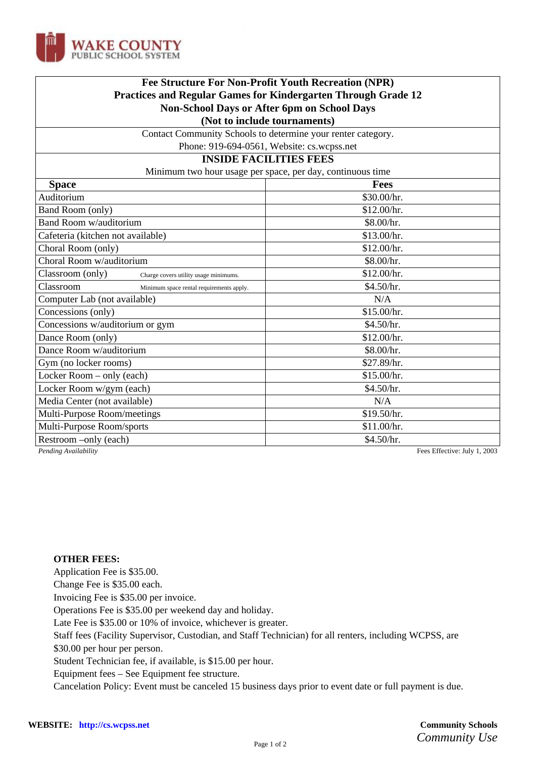

| <b>Fee Structure For Non-Profit Youth Recreation (NPR)</b><br>Practices and Regular Games for Kindergarten Through Grade 12<br>Non-School Days or After 6pm on School Days<br>(Not to include tournaments) |                              |                                                              |  |
|------------------------------------------------------------------------------------------------------------------------------------------------------------------------------------------------------------|------------------------------|--------------------------------------------------------------|--|
|                                                                                                                                                                                                            |                              | Contact Community Schools to determine your renter category. |  |
|                                                                                                                                                                                                            |                              | Phone: 919-694-0561, Website: cs.wcpss.net                   |  |
|                                                                                                                                                                                                            |                              | <b>INSIDE FACILITIES FEES</b>                                |  |
| Minimum two hour usage per space, per day, continuous time                                                                                                                                                 |                              |                                                              |  |
| <b>Space</b>                                                                                                                                                                                               | <b>Fees</b>                  |                                                              |  |
| Auditorium                                                                                                                                                                                                 | \$30.00/hr.                  |                                                              |  |
| Band Room (only)                                                                                                                                                                                           | \$12.00/hr.                  |                                                              |  |
| Band Room w/auditorium                                                                                                                                                                                     | \$8.00/hr.                   |                                                              |  |
| Cafeteria (kitchen not available)                                                                                                                                                                          | \$13.00/hr.                  |                                                              |  |
| Choral Room (only)                                                                                                                                                                                         | \$12.00/hr.                  |                                                              |  |
| Choral Room w/auditorium                                                                                                                                                                                   | \$8.00/hr.                   |                                                              |  |
| Classroom (only)<br>Charge covers utility usage minimums.                                                                                                                                                  | \$12.00/hr.                  |                                                              |  |
| Classroom<br>Minimum space rental requirements apply.                                                                                                                                                      | \$4.50/hr.                   |                                                              |  |
| Computer Lab (not available)                                                                                                                                                                               | N/A                          |                                                              |  |
| Concessions (only)                                                                                                                                                                                         | \$15.00/hr.                  |                                                              |  |
| Concessions w/auditorium or gym                                                                                                                                                                            | \$4.50/hr.                   |                                                              |  |
| Dance Room (only)                                                                                                                                                                                          | \$12.00/hr.                  |                                                              |  |
| Dance Room w/auditorium                                                                                                                                                                                    | \$8.00/hr.                   |                                                              |  |
| Gym (no locker rooms)                                                                                                                                                                                      | \$27.89/hr.                  |                                                              |  |
| Locker Room - only (each)                                                                                                                                                                                  | \$15.00/hr.                  |                                                              |  |
| Locker Room w/gym (each)                                                                                                                                                                                   | \$4.50/hr.                   |                                                              |  |
| Media Center (not available)                                                                                                                                                                               | N/A                          |                                                              |  |
| Multi-Purpose Room/meetings                                                                                                                                                                                | \$19.50/hr.                  |                                                              |  |
| Multi-Purpose Room/sports                                                                                                                                                                                  | \$11.00/hr.                  |                                                              |  |
| Restroom -only (each)                                                                                                                                                                                      | \$4.50/hr.                   |                                                              |  |
| Pending Availability                                                                                                                                                                                       | Fees Effective: July 1, 2003 |                                                              |  |

## **OTHER FEES:**

Application Fee is \$35.00.

Change Fee is \$35.00 each.

Invoicing Fee is \$35.00 per invoice.

Operations Fee is \$35.00 per weekend day and holiday.

Late Fee is \$35.00 or 10% of invoice, whichever is greater.

Staff fees (Facility Supervisor, Custodian, and Staff Technician) for all renters, including WCPSS, are

\$30.00 per hour per person.

Student Technician fee, if available, is \$15.00 per hour.

Equipment fees – See Equipment fee structure.

Cancelation Policy: Event must be canceled 15 business days prior to event date or full payment is due.